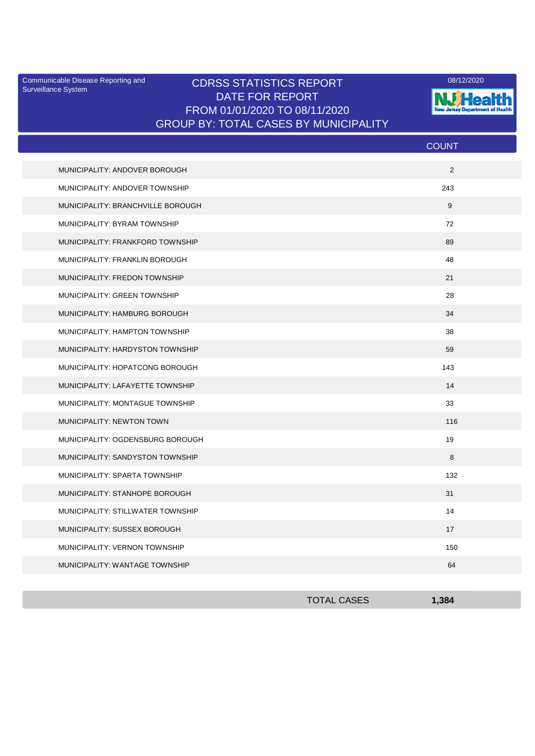Surveillance System

## Communicable Disease Reporting and CDRSS STATISTICS REPORT 2008/12/2020 DATE FOR REPORT FROM 01/01/2020 TO 08/11/2020 GROUP BY: TOTAL CASES BY MUNICIPALITY



|                                   | <b>COUNT</b> |
|-----------------------------------|--------------|
| MUNICIPALITY: ANDOVER BOROUGH     | $\mathbf{2}$ |
| MUNICIPALITY: ANDOVER TOWNSHIP    | 243          |
| MUNICIPALITY: BRANCHVILLE BOROUGH | 9            |
| MUNICIPALITY: BYRAM TOWNSHIP      | 72           |
| MUNICIPALITY: FRANKFORD TOWNSHIP  | 89           |
| MUNICIPALITY: FRANKLIN BOROUGH    | 48           |
| MUNICIPALITY: FREDON TOWNSHIP     | 21           |
| MUNICIPALITY: GREEN TOWNSHIP      | 28           |
| MUNICIPALITY: HAMBURG BOROUGH     | 34           |
| MUNICIPALITY: HAMPTON TOWNSHIP    | 38           |
| MUNICIPALITY: HARDYSTON TOWNSHIP  | 59           |
| MUNICIPALITY: HOPATCONG BOROUGH   | 143          |
| MUNICIPALITY: LAFAYETTE TOWNSHIP  | 14           |
| MUNICIPALITY: MONTAGUE TOWNSHIP   | 33           |
| MUNICIPALITY: NEWTON TOWN         | 116          |
| MUNICIPALITY: OGDENSBURG BOROUGH  | 19           |
| MUNICIPALITY: SANDYSTON TOWNSHIP  | 8            |
| MUNICIPALITY: SPARTA TOWNSHIP     | 132          |
| MUNICIPALITY: STANHOPE BOROUGH    | 31           |
| MUNICIPALITY: STILLWATER TOWNSHIP | 14           |
| MUNICIPALITY: SUSSEX BOROUGH      | 17           |
| MUNICIPALITY: VERNON TOWNSHIP     | 150          |
| MUNICIPALITY: WANTAGE TOWNSHIP    | 64           |

| <b>TOTAL CASES</b> | 1,384 |
|--------------------|-------|
|                    |       |